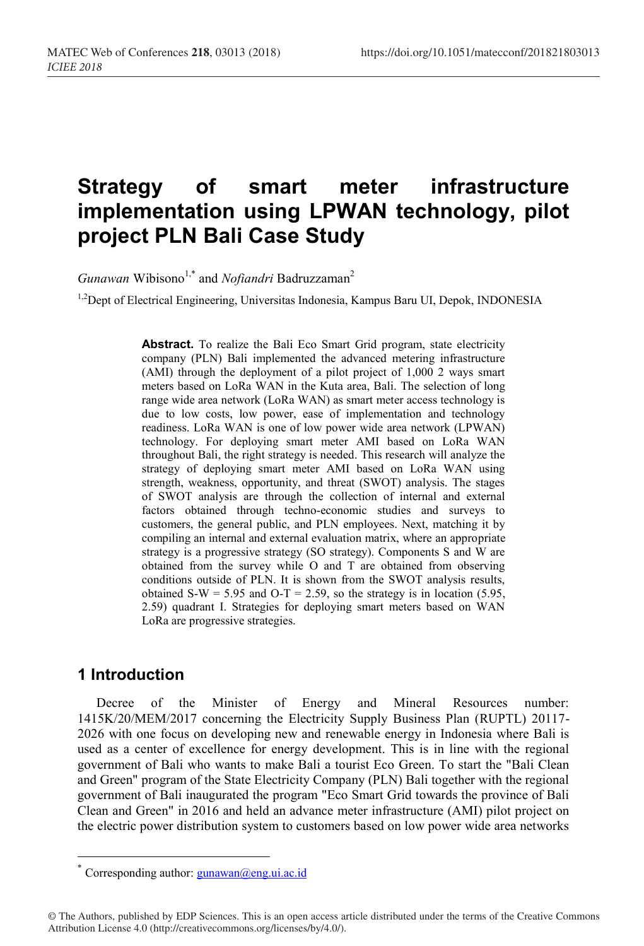# **Strategy of smart meter infrastructure implementation using LPWAN technology, pilot project PLN Bali Case Study**

*Gunawan* Wibisono<sup>1,\*</sup> and *Nofiandri* Badruzzaman<sup>2</sup>

<sup>1,2</sup>Dept of Electrical Engineering, Universitas Indonesia, Kampus Baru UI, Depok, INDONESIA

Abstract. To realize the Bali Eco Smart Grid program, state electricity company (PLN) Bali implemented the advanced metering infrastructure (AMI) through the deployment of a pilot project of 1,000 2 ways smart meters based on LoRa WAN in the Kuta area, Bali. The selection of long range wide area network (LoRa WAN) as smart meter access technology is due to low costs, low power, ease of implementation and technology readiness. LoRa WAN is one of low power wide area network (LPWAN) technology. For deploying smart meter AMI based on LoRa WAN throughout Bali, the right strategy is needed. This research will analyze the strategy of deploying smart meter AMI based on LoRa WAN using strength, weakness, opportunity, and threat (SWOT) analysis. The stages of SWOT analysis are through the collection of internal and external factors obtained through techno-economic studies and surveys to customers, the general public, and PLN employees. Next, matching it by compiling an internal and external evaluation matrix, where an appropriate strategy is a progressive strategy (SO strategy). Components S and W are obtained from the survey while O and T are obtained from observing conditions outside of PLN. It is shown from the SWOT analysis results, obtained S-W = 5.95 and O-T = 2.59, so the strategy is in location (5.95, 2.59) quadrant I. Strategies for deploying smart meters based on WAN LoRa are progressive strategies.

# **1 Introduction**

Decree of the Minister of Energy and Mineral Resources number: 1415K/20/MEM/2017 concerning the Electricity Supply Business Plan (RUPTL) 20117- 2026 with one focus on developing new and renewable energy in Indonesia where Bali is used as a center of excellence for energy development. This is in line with the regional government of Bali who wants to make Bali a tourist Eco Green. To start the "Bali Clean and Green" program of the State Electricity Company (PLN) Bali together with the regional government of Bali inaugurated the program "Eco Smart Grid towards the province of Bali Clean and Green" in 2016 and held an advance meter infrastructure (AMI) pilot project on the electric power distribution system to customers based on low power wide area networks

<sup>\*</sup> Corresponding author:  $\frac{gunawan(\hat{a})eng.ui.ac.id}{guna}$ 

<sup>©</sup> The Authors, published by EDP Sciences. This is an open access article distributed under the terms of the Creative Commons Attribution License 4.0 (http://creativecommons.org/licenses/by/4.0/).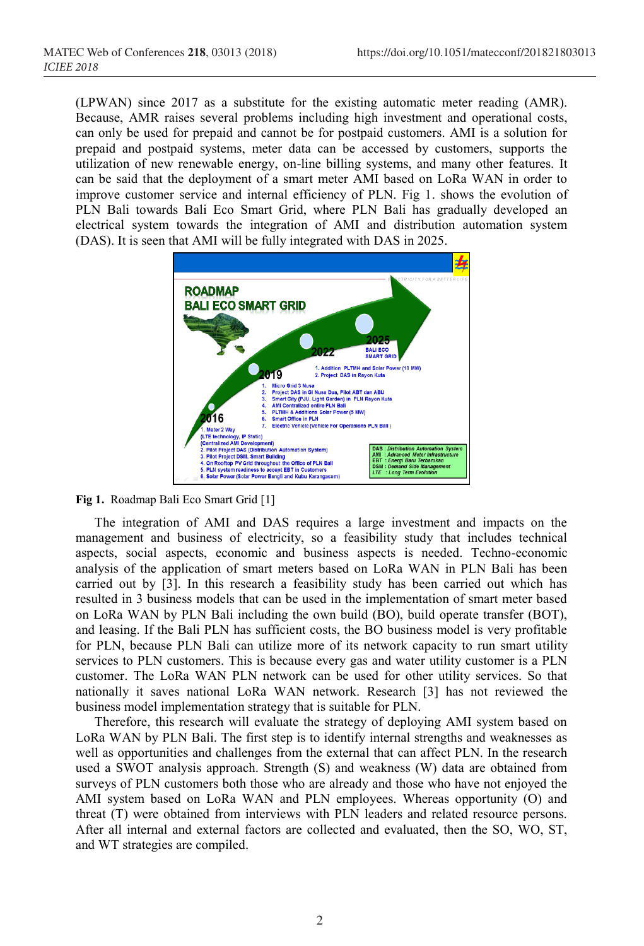(LPWAN) since 2017 as a substitute for the existing automatic meter reading (AMR). Because, AMR raises several problems including high investment and operational costs, can only be used for prepaid and cannot be for postpaid customers. AMI is a solution for prepaid and postpaid systems, meter data can be accessed by customers, supports the utilization of new renewable energy, on-line billing systems, and many other features. It can be said that the deployment of a smart meter AMI based on LoRa WAN in order to improve customer service and internal efficiency of PLN. Fig 1. shows the evolution of PLN Bali towards Bali Eco Smart Grid, where PLN Bali has gradually developed an electrical system towards the integration of AMI and distribution automation system (DAS). It is seen that AMI will be fully integrated with DAS in 2025.



**Fig 1.** Roadmap Bali Eco Smart Grid [1]

The integration of AMI and DAS requires a large investment and impacts on the management and business of electricity, so a feasibility study that includes technical aspects, social aspects, economic and business aspects is needed. Techno-economic analysis of the application of smart meters based on LoRa WAN in PLN Bali has been carried out by [3]. In this research a feasibility study has been carried out which has resulted in 3 business models that can be used in the implementation of smart meter based on LoRa WAN by PLN Bali including the own build (BO), build operate transfer (BOT), and leasing. If the Bali PLN has sufficient costs, the BO business model is very profitable for PLN, because PLN Bali can utilize more of its network capacity to run smart utility services to PLN customers. This is because every gas and water utility customer is a PLN customer. The LoRa WAN PLN network can be used for other utility services. So that nationally it saves national LoRa WAN network. Research [3] has not reviewed the business model implementation strategy that is suitable for PLN.

Therefore, this research will evaluate the strategy of deploying AMI system based on LoRa WAN by PLN Bali. The first step is to identify internal strengths and weaknesses as well as opportunities and challenges from the external that can affect PLN. In the research used a SWOT analysis approach. Strength (S) and weakness (W) data are obtained from surveys of PLN customers both those who are already and those who have not enjoyed the AMI system based on LoRa WAN and PLN employees. Whereas opportunity (O) and threat (T) were obtained from interviews with PLN leaders and related resource persons. After all internal and external factors are collected and evaluated, then the SO, WO, ST, and WT strategies are compiled.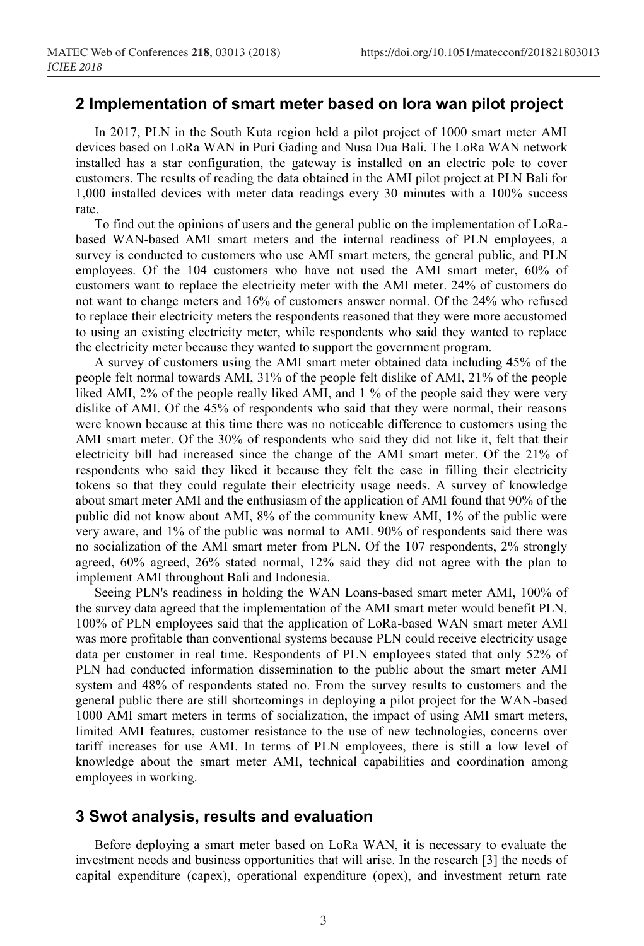## **2 Implementation of smart meter based on lora wan pilot project**

In 2017, PLN in the South Kuta region held a pilot project of 1000 smart meter AMI devices based on LoRa WAN in Puri Gading and Nusa Dua Bali. The LoRa WAN network installed has a star configuration, the gateway is installed on an electric pole to cover customers. The results of reading the data obtained in the AMI pilot project at PLN Bali for 1,000 installed devices with meter data readings every 30 minutes with a 100% success rate.

To find out the opinions of users and the general public on the implementation of LoRabased WAN-based AMI smart meters and the internal readiness of PLN employees, a survey is conducted to customers who use AMI smart meters, the general public, and PLN employees. Of the 104 customers who have not used the AMI smart meter, 60% of customers want to replace the electricity meter with the AMI meter. 24% of customers do not want to change meters and 16% of customers answer normal. Of the 24% who refused to replace their electricity meters the respondents reasoned that they were more accustomed to using an existing electricity meter, while respondents who said they wanted to replace the electricity meter because they wanted to support the government program.

A survey of customers using the AMI smart meter obtained data including 45% of the people felt normal towards AMI, 31% of the people felt dislike of AMI, 21% of the people liked AMI, 2% of the people really liked AMI, and 1 % of the people said they were very dislike of AMI. Of the 45% of respondents who said that they were normal, their reasons were known because at this time there was no noticeable difference to customers using the AMI smart meter. Of the 30% of respondents who said they did not like it, felt that their electricity bill had increased since the change of the AMI smart meter. Of the 21% of respondents who said they liked it because they felt the ease in filling their electricity tokens so that they could regulate their electricity usage needs. A survey of knowledge about smart meter AMI and the enthusiasm of the application of AMI found that 90% of the public did not know about AMI, 8% of the community knew AMI, 1% of the public were very aware, and 1% of the public was normal to AMI. 90% of respondents said there was no socialization of the AMI smart meter from PLN. Of the 107 respondents, 2% strongly agreed, 60% agreed, 26% stated normal, 12% said they did not agree with the plan to implement AMI throughout Bali and Indonesia.

Seeing PLN's readiness in holding the WAN Loans-based smart meter AMI, 100% of the survey data agreed that the implementation of the AMI smart meter would benefit PLN, 100% of PLN employees said that the application of LoRa-based WAN smart meter AMI was more profitable than conventional systems because PLN could receive electricity usage data per customer in real time. Respondents of PLN employees stated that only 52% of PLN had conducted information dissemination to the public about the smart meter AMI system and 48% of respondents stated no. From the survey results to customers and the general public there are still shortcomings in deploying a pilot project for the WAN-based 1000 AMI smart meters in terms of socialization, the impact of using AMI smart meters, limited AMI features, customer resistance to the use of new technologies, concerns over tariff increases for use AMI. In terms of PLN employees, there is still a low level of knowledge about the smart meter AMI, technical capabilities and coordination among employees in working.

#### **3 Swot analysis, results and evaluation**

Before deploying a smart meter based on LoRa WAN, it is necessary to evaluate the investment needs and business opportunities that will arise. In the research [3] the needs of capital expenditure (capex), operational expenditure (opex), and investment return rate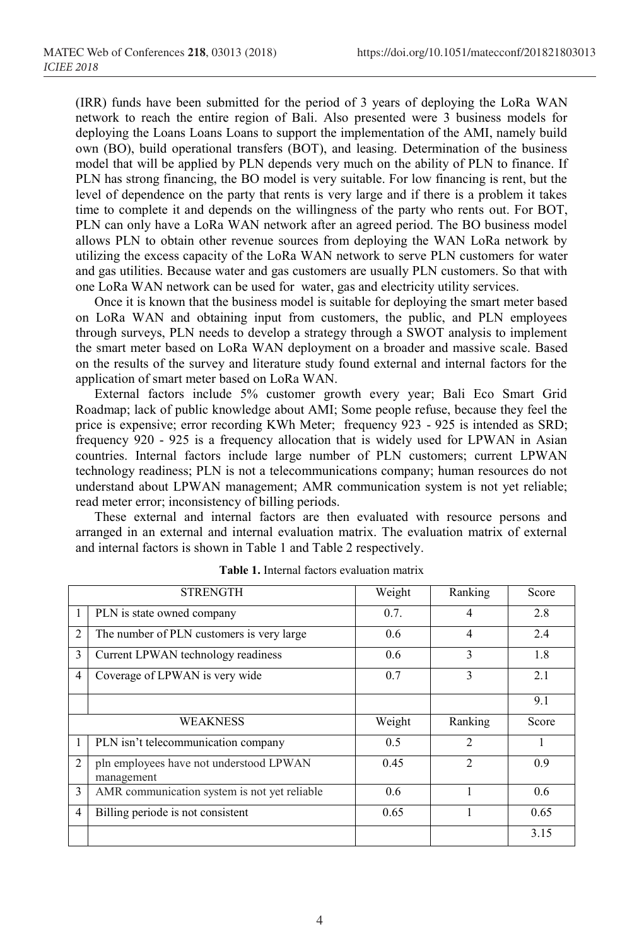(IRR) funds have been submitted for the period of 3 years of deploying the LoRa WAN network to reach the entire region of Bali. Also presented were 3 business models for deploying the Loans Loans Loans to support the implementation of the AMI, namely build own (BO), build operational transfers (BOT), and leasing. Determination of the business model that will be applied by PLN depends very much on the ability of PLN to finance. If PLN has strong financing, the BO model is very suitable. For low financing is rent, but the level of dependence on the party that rents is very large and if there is a problem it takes time to complete it and depends on the willingness of the party who rents out. For BOT, PLN can only have a LoRa WAN network after an agreed period. The BO business model allows PLN to obtain other revenue sources from deploying the WAN LoRa network by utilizing the excess capacity of the LoRa WAN network to serve PLN customers for water and gas utilities. Because water and gas customers are usually PLN customers. So that with one LoRa WAN network can be used for water, gas and electricity utility services.

Once it is known that the business model is suitable for deploying the smart meter based on LoRa WAN and obtaining input from customers, the public, and PLN employees through surveys, PLN needs to develop a strategy through a SWOT analysis to implement the smart meter based on LoRa WAN deployment on a broader and massive scale. Based on the results of the survey and literature study found external and internal factors for the application of smart meter based on LoRa WAN.

External factors include 5% customer growth every year; Bali Eco Smart Grid Roadmap; lack of public knowledge about AMI; Some people refuse, because they feel the price is expensive; error recording KWh Meter; frequency 923 - 925 is intended as SRD; frequency 920 - 925 is a frequency allocation that is widely used for LPWAN in Asian countries. Internal factors include large number of PLN customers; current LPWAN technology readiness; PLN is not a telecommunications company; human resources do not understand about LPWAN management; AMR communication system is not yet reliable; read meter error; inconsistency of billing periods.

These external and internal factors are then evaluated with resource persons and arranged in an external and internal evaluation matrix. The evaluation matrix of external and internal factors is shown in Table 1 and Table 2 respectively.

|                 | <b>STRENGTH</b>                                       | Weight | Ranking        | Score |
|-----------------|-------------------------------------------------------|--------|----------------|-------|
|                 | PLN is state owned company                            | 0.7.   | 4              | 2.8   |
| 2               | The number of PLN customers is very large.            | 0.6    | $\overline{4}$ | 2.4   |
| 3               | Current LPWAN technology readiness                    | 0.6    | 3              | 1.8   |
| 4               | Coverage of LPWAN is very wide                        | 0.7    | 3              | 2.1   |
|                 |                                                       |        |                | 9.1   |
| <b>WEAKNESS</b> |                                                       | Weight | Ranking        | Score |
|                 | PLN isn't telecommunication company                   | 0.5    | $\mathfrak{D}$ |       |
| $\mathfrak{D}$  | pln employees have not understood LPWAN<br>management | 0.45   | $\mathcal{D}$  | 0.9   |
| 3               | AMR communication system is not yet reliable          | 0.6    |                | 0.6   |
| 4               | Billing periode is not consistent                     | 0.65   |                | 0.65  |
|                 |                                                       |        |                | 3.15  |

**Table 1.** Internal factors evaluation matrix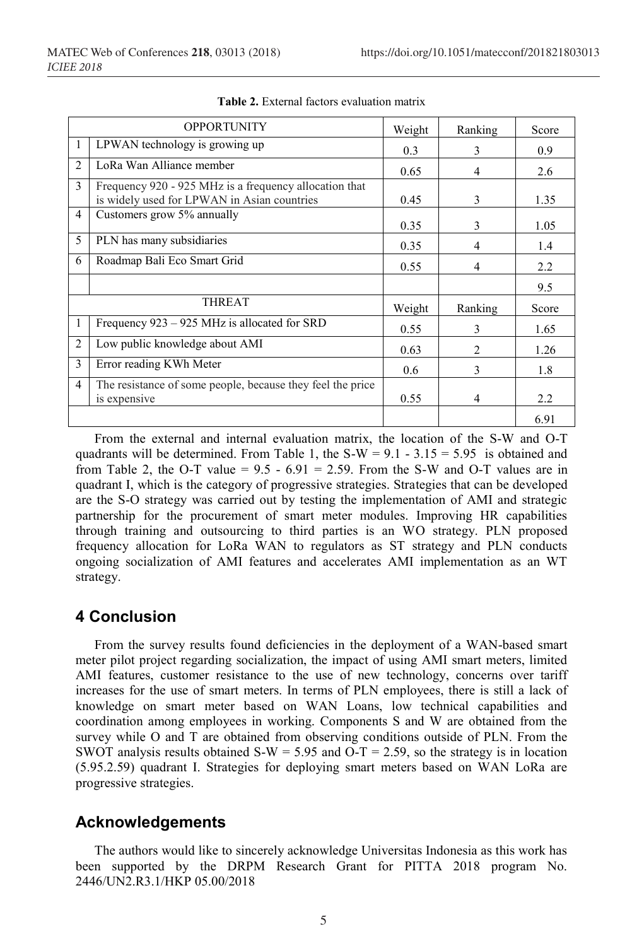| <b>OPPORTUNITY</b> |                                                                                                       | Weight | Ranking        | Score |
|--------------------|-------------------------------------------------------------------------------------------------------|--------|----------------|-------|
| 1                  | LPWAN technology is growing up                                                                        | 0.3    | 3              | 0.9   |
| 2                  | LoRa Wan Alliance member                                                                              | 0.65   | 4              | 2.6   |
| $\mathcal{E}$      | Frequency 920 - 925 MHz is a frequency allocation that<br>is widely used for LPWAN in Asian countries | 0.45   | 3              | 1.35  |
| $\overline{4}$     | Customers grow 5% annually                                                                            | 0.35   | 3              | 1.05  |
| 5                  | PLN has many subsidiaries                                                                             | 0.35   | 4              | 1.4   |
| 6                  | Roadmap Bali Eco Smart Grid                                                                           | 0.55   | 4              | 2.2   |
|                    |                                                                                                       |        |                | 9.5   |
| THREAT             |                                                                                                       | Weight | Ranking        | Score |
| 1                  | Frequency 923 – 925 MHz is allocated for SRD                                                          | 0.55   | 3              | 1.65  |
| 2                  | Low public knowledge about AMI                                                                        | 0.63   | $\mathfrak{D}$ | 1.26  |
| 3                  | Error reading KWh Meter                                                                               | 0.6    | 3              | 1.8   |
| $\overline{4}$     | The resistance of some people, because they feel the price<br>is expensive                            | 0.55   | 4              | 2.2   |
|                    |                                                                                                       |        |                | 6.91  |

**Table 2.** External factors evaluation matrix

From the external and internal evaluation matrix, the location of the S-W and O-T quadrants will be determined. From Table 1, the S-W =  $9.1 - 3.15 = 5.95$  is obtained and from Table 2, the O-T value =  $9.5 - 6.91 = 2.59$ . From the S-W and O-T values are in quadrant I, which is the category of progressive strategies. Strategies that can be developed are the S-O strategy was carried out by testing the implementation of AMI and strategic partnership for the procurement of smart meter modules. Improving HR capabilities through training and outsourcing to third parties is an WO strategy. PLN proposed frequency allocation for LoRa WAN to regulators as ST strategy and PLN conducts ongoing socialization of AMI features and accelerates AMI implementation as an WT strategy.

## **4 Conclusion**

From the survey results found deficiencies in the deployment of a WAN-based smart meter pilot project regarding socialization, the impact of using AMI smart meters, limited AMI features, customer resistance to the use of new technology, concerns over tariff increases for the use of smart meters. In terms of PLN employees, there is still a lack of knowledge on smart meter based on WAN Loans, low technical capabilities and coordination among employees in working. Components S and W are obtained from the survey while O and T are obtained from observing conditions outside of PLN. From the SWOT analysis results obtained S-W = 5.95 and O-T = 2.59, so the strategy is in location (5.95.2.59) quadrant I. Strategies for deploying smart meters based on WAN LoRa are progressive strategies.

# **Acknowledgements**

The authors would like to sincerely acknowledge Universitas Indonesia as this work has been supported by the DRPM Research Grant for PITTA 2018 program No. 2446/UN2.R3.1/HKP 05.00/2018